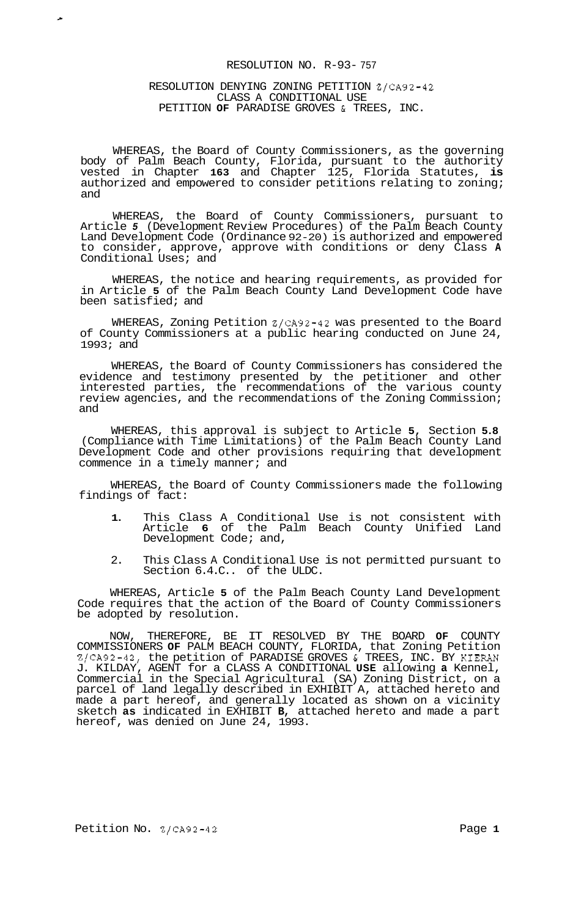## RESOLUTION NO. R-93- 757

## RESOLUTION DENYING ZONING PETITION Z/CA92-42 CLASS A CONDITIONAL USE PETITION **OF** PARADISE GROVES & TREES, INC.

 $\mathbf{r}_\mathrm{c}$ 

WHEREAS, the Board of County Commissioners, as the governing body of Palm Beach County, Florida, pursuant to the authority vested in Chapter **163** and Chapter 125, Florida Statutes, **is**  authorized and empowered to consider petitions relating to zoning; and

WHEREAS, the Board of County Commissioners, pursuant to Article *5* (Development Review Procedures) of the Palm Beach County Land Development Code (Ordinance 92-20) is authorized and empowered to consider, approve, approve with conditions or deny Class **A**  Conditional Uses; and

WHEREAS, the notice and hearing requirements, as provided for in Article **5** of the Palm Beach County Land Development Code have been satisfied; and

WHEREAS, Zoning Petition Z/CA92-42 was presented to the Board of County Commissioners at a public hearing conducted on June 24, 1993; and

WHEREAS, the Board of County Commissioners has considered the evidence and testimony presented by the petitioner and other interested parties, the recommendations of the various county review agencies, and the recommendations of the Zoning Commission; and

WHEREAS, this approval is subject to Article **5,** Section **5.8**  (Compliance with Time Limitations) of the Palm Beach County Land Development Code and other provisions requiring that development commence in a timely manner; and

WHEREAS, the Board of County Commissioners made the following findings of fact:

- **1.** This Class A Conditional Use is not consistent with Article **6** of the Palm Beach County Unified Land Development Code; and,
- 2. This Class A Conditional Use is not permitted pursuant to Section 6.4.C.. of the ULDC.

WHEREAS, Article **5** of the Palm Beach County Land Development Code requires that the action of the Board of County Commissioners be adopted by resolution.

NOW, THEREFORE, BE IT RESOLVED BY THE BOARD **OF** COUNTY COMMISSIONERS **OF** PALM BEACH COUNTY, FLORIDA, that Zoning Petition Z/CA92-42, the petition of PARADISE GROVES & TREES, INC. BY KIERAN J. KILDAY, AGENT for a CLASS A CONDITIONAL **USE** allowing **a** Kennel, Commercial in the Special Agricultural (SA) Zoning District, on a parcel of land legally described in EXHIBIT A, attached hereto and made a part hereof, and generally located as shown on a vicinity sketch **as** indicated in EXHIBIT **B,** attached hereto and made a part hereof, was denied on June 24, 1993.